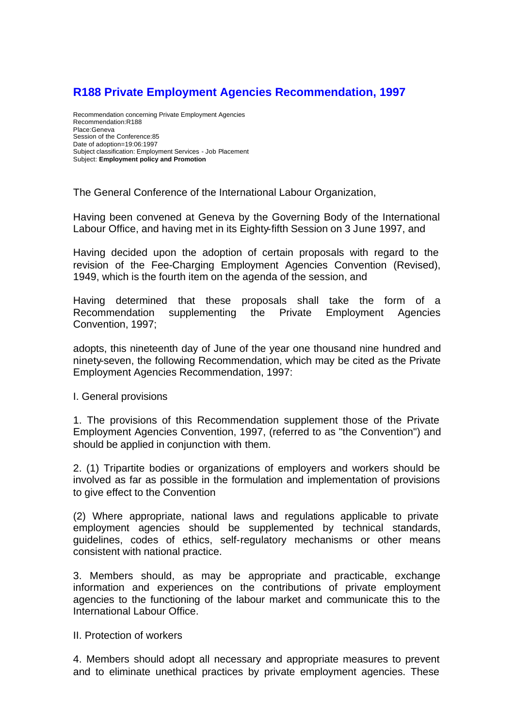## **R188 Private Employment Agencies Recommendation, 1997**

Recommendation concerning Private Employment Agencies Recommendation:R188 Place:Geneva Session of the Conference:85 Date of adoption=19:06:1997 Subject classification: Employment Services - Job Placement Subject: **Employment policy and Promotion**

The General Conference of the International Labour Organization,

Having been convened at Geneva by the Governing Body of the International Labour Office, and having met in its Eighty-fifth Session on 3 June 1997, and

Having decided upon the adoption of certain proposals with regard to the revision of the Fee-Charging Employment Agencies Convention (Revised), 1949, which is the fourth item on the agenda of the session, and

Having determined that these proposals shall take the form of a Recommendation supplementing the Private Employment Agencies Convention, 1997;

adopts, this nineteenth day of June of the year one thousand nine hundred and ninety-seven, the following Recommendation, which may be cited as the Private Employment Agencies Recommendation, 1997:

I. General provisions

1. The provisions of this Recommendation supplement those of the Private Employment Agencies Convention, 1997, (referred to as "the Convention") and should be applied in conjunction with them.

2. (1) Tripartite bodies or organizations of employers and workers should be involved as far as possible in the formulation and implementation of provisions to give effect to the Convention

(2) Where appropriate, national laws and regulations applicable to private employment agencies should be supplemented by technical standards, guidelines, codes of ethics, self-regulatory mechanisms or other means consistent with national practice.

3. Members should, as may be appropriate and practicable, exchange information and experiences on the contributions of private employment agencies to the functioning of the labour market and communicate this to the International Labour Office.

II. Protection of workers

4. Members should adopt all necessary and appropriate measures to prevent and to eliminate unethical practices by private employment agencies. These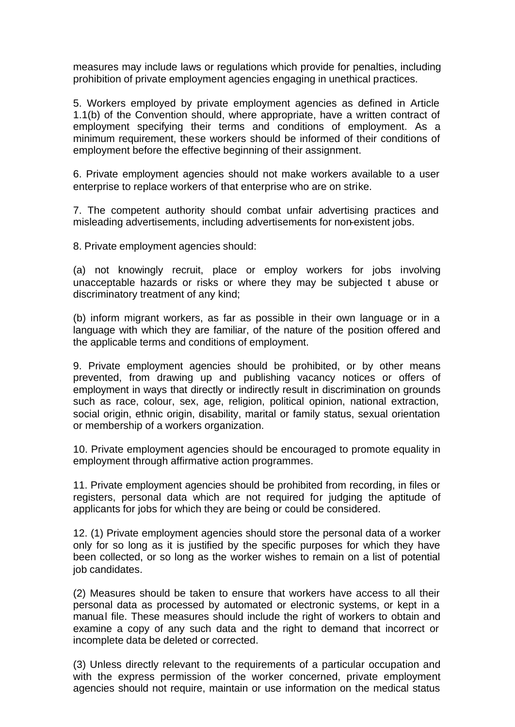measures may include laws or regulations which provide for penalties, including prohibition of private employment agencies engaging in unethical practices.

5. Workers employed by private employment agencies as defined in Article 1.1(b) of the Convention should, where appropriate, have a written contract of employment specifying their terms and conditions of employment. As a minimum requirement, these workers should be informed of their conditions of employment before the effective beginning of their assignment.

6. Private employment agencies should not make workers available to a user enterprise to replace workers of that enterprise who are on strike.

7. The competent authority should combat unfair advertising practices and misleading advertisements, including advertisements for non-existent jobs.

8. Private employment agencies should:

(a) not knowingly recruit, place or employ workers for jobs involving unacceptable hazards or risks or where they may be subjected t abuse or discriminatory treatment of any kind;

(b) inform migrant workers, as far as possible in their own language or in a language with which they are familiar, of the nature of the position offered and the applicable terms and conditions of employment.

9. Private employment agencies should be prohibited, or by other means prevented, from drawing up and publishing vacancy notices or offers of employment in ways that directly or indirectly result in discrimination on grounds such as race, colour, sex, age, religion, political opinion, national extraction, social origin, ethnic origin, disability, marital or family status, sexual orientation or membership of a workers organization.

10. Private employment agencies should be encouraged to promote equality in employment through affirmative action programmes.

11. Private employment agencies should be prohibited from recording, in files or registers, personal data which are not required for judging the aptitude of applicants for jobs for which they are being or could be considered.

12. (1) Private employment agencies should store the personal data of a worker only for so long as it is justified by the specific purposes for which they have been collected, or so long as the worker wishes to remain on a list of potential job candidates.

(2) Measures should be taken to ensure that workers have access to all their personal data as processed by automated or electronic systems, or kept in a manual file. These measures should include the right of workers to obtain and examine a copy of any such data and the right to demand that incorrect or incomplete data be deleted or corrected.

(3) Unless directly relevant to the requirements of a particular occupation and with the express permission of the worker concerned, private employment agencies should not require, maintain or use information on the medical status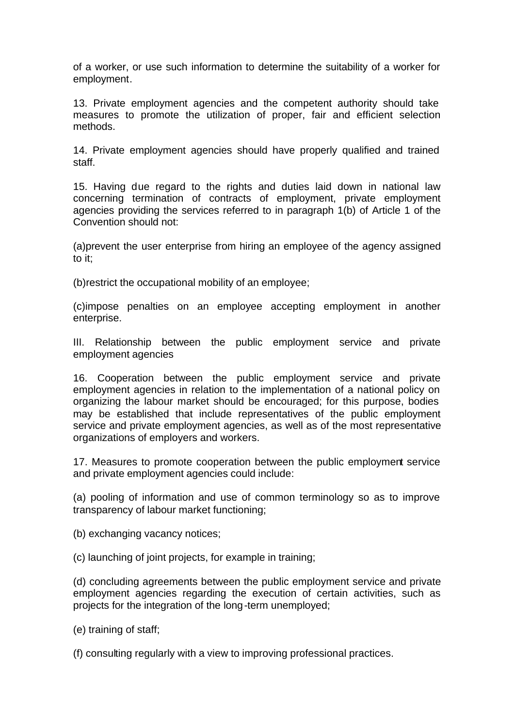of a worker, or use such information to determine the suitability of a worker for employment.

13. Private employment agencies and the competent authority should take measures to promote the utilization of proper, fair and efficient selection methods.

14. Private employment agencies should have properly qualified and trained staff.

15. Having due regard to the rights and duties laid down in national law concerning termination of contracts of employment, private employment agencies providing the services referred to in paragraph 1(b) of Article 1 of the Convention should not:

(a)prevent the user enterprise from hiring an employee of the agency assigned to it;

(b)restrict the occupational mobility of an employee;

(c)impose penalties on an employee accepting employment in another enterprise.

III. Relationship between the public employment service and private employment agencies

16. Cooperation between the public employment service and private employment agencies in relation to the implementation of a national policy on organizing the labour market should be encouraged; for this purpose, bodies may be established that include representatives of the public employment service and private employment agencies, as well as of the most representative organizations of employers and workers.

17. Measures to promote cooperation between the public employment service and private employment agencies could include:

(a) pooling of information and use of common terminology so as to improve transparency of labour market functioning;

(b) exchanging vacancy notices;

(c) launching of joint projects, for example in training;

(d) concluding agreements between the public employment service and private employment agencies regarding the execution of certain activities, such as projects for the integration of the long-term unemployed;

(e) training of staff;

(f) consulting regularly with a view to improving professional practices.